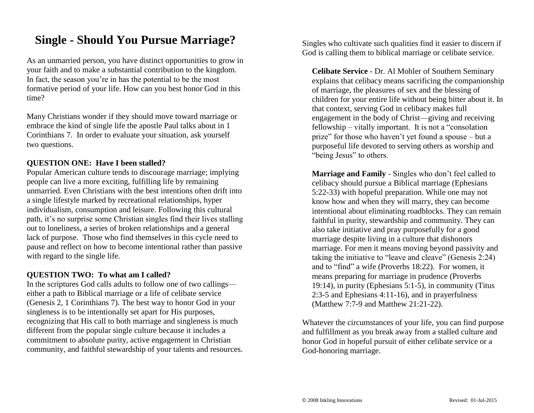## **Single - Should You Pursue Marriage?**

As an unmarried person, you have distinct opportunities to grow in your faith and to make a substantial contribution to the kingdom. In fact, the season you're in has the potential to be the most formative period of your life. How can you best honor God in this time?

Many Christians wonder if they should move toward marriage or embrace the kind of single life the apostle Paul talks about in 1 Corinthians 7. In order to evaluate your situation, ask yourself two questions.

#### **QUESTION ONE: Have I been stalled?**

Popular American culture tends to discourage marriage; implying people can live a more exciting, fulfilling life by remaining unmarried. Even Christians with the best intentions often drift into a single lifestyle marked by recreational relationships, hyper individualism, consumption and leisure. Following this cultural path, it's no surprise some Christian singles find their lives stalling out to loneliness, a series of broken relationships and a general lack of purpose. Those who find themselves in this cycle need to pause and reflect on how to become intentional rather than passive with regard to the single life.

#### **QUESTION TWO: To what am I called?**

In the scriptures God calls adults to follow one of two callings either a path to Biblical marriage or a life of celibate service (Genesis 2, 1 Corinthians 7). The best way to honor God in your singleness is to be intentionally set apart for His purposes, recognizing that His call to both marriage and singleness is much different from the popular single culture because it includes a commitment to absolute purity, active engagement in Christian community, and faithful stewardship of your talents and resources. Singles who cultivate such qualities find it easier to discern if God is calling them to biblical marriage or celibate service.

**Celibate Service** - Dr. Al Mohler of Southern Seminary explains that celibacy means sacrificing the companionship of marriage, the pleasures of sex and the blessing of children for your entire life without being bitter about it. In that context, serving God in celibacy makes full engagement in the body of Christ—giving and receiving fellowship – vitally important. It is not a "consolation prize" for those who haven't yet found a spouse – but a purposeful life devoted to serving others as worship and "being Jesus" to others.

**Marriage and Family** - Singles who don't feel called to celibacy should pursue a Biblical marriage (Ephesians 5:22-33) with hopeful preparation. While one may not know how and when they will marry, they can become intentional about eliminating roadblocks. They can remain faithful in purity, stewardship and community. They can also take initiative and pray purposefully for a good marriage despite living in a culture that dishonors marriage. For men it means moving beyond passivity and taking the initiative to "leave and cleave" (Genesis 2:24) and to "find" a wife (Proverbs 18:22). For women, it means preparing for marriage in prudence (Proverbs 19:14), in purity (Ephesians 5:1-5), in community (Titus 2:3-5 and Ephesians 4:11-16), and in prayerfulness (Matthew 7:7-9 and Matthew 21:21-22).

Whatever the circumstances of your life, you can find purpose and fulfillment as you break away from a stalled culture and honor God in hopeful pursuit of either celibate service or a God-honoring marriage.